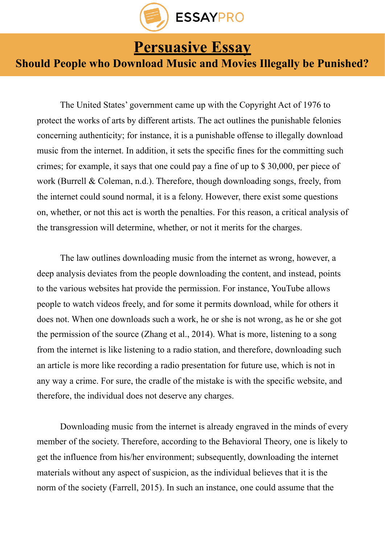

**[Persuasive Essay](https://essaypro.com/blog/persuasive-essay/)**<br>
Should People who Download Music and Movies Illegally be Punished?

 The United States' government came up with the Copyright Act of 1976 to protect the works of arts by different artists. The act outlines the punishable felonies concerning authenticity; for instance, it is a punishable offense to illegally download music from the internet. In addition, it sets the specific fines for the committing such crimes; for example, it says that one could pay a fine of up to \$ 30,000, per piece of work (Burrell & Coleman, n.d.). Therefore, though downloading songs, freely, from the internet could sound normal, it is a felony. However, there exist some questions on, whether, or not this act is worth the penalties. For this reason, a critical analysis of the transgression will determine, whether, or not it merits for the charges.

 The law outlines downloading music from the internet as wrong, however, a deep analysis deviates from the people downloading the content, and instead, points to the various websites hat provide the permission. For instance, YouTube allows people to watch videos freely, and for some it permits download, while for others it does not. When one downloads such a work, he or she is not wrong, as he or she got the permission of the source (Zhang et al., 2014). What is more, listening to a song from the internet is like listening to a radio station, and therefore, downloading such an article is more like recording a radio presentation for future use, which is not in any way a crime. For sure, the cradle of the mistake is with the specific website, and therefore, the individual does not deserve any charges.

 Downloading music from the internet is already engraved in the minds of every member of the society. Therefore, according to the Behavioral Theory, one is likely to get the influence from his/her environment; subsequently, downloading the internet materials without any aspect of suspicion, as the individual believes that it is the norm of the society (Farrell, 2015). In such an instance, one could assume that the